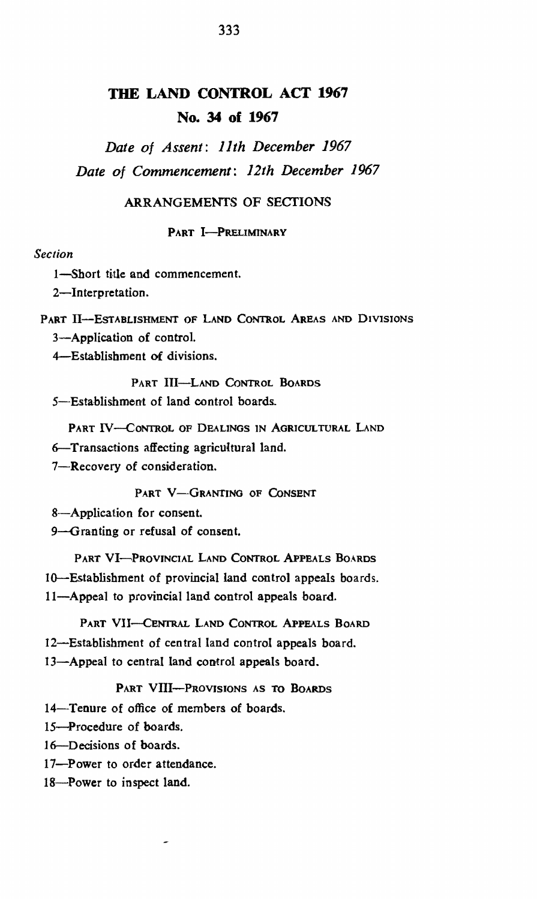# **TIlE LAND CONTROL ACT 1967 No. 34 of 1967**

*Date of Assent: 11th December 1967 Date of Commencement: 12th December 1967* 

### ARRANGEMENTS OF SECTIONS

#### PART I-PRELIMINARY

### *Section*

1-Short title and commencement.

2-Interpretation.

PART II-ESTABLISHMENT OF LAND CONTROL AREAS AND DIVISIONS

3-Application of control.

4-Establishment of divisions.

PART III-LAND CONTROL BOARDS 5-Establishment of land control boards.

PART IV-CONTROL OF DEALINGS IN AGRICULTURAL LAND

6-Transactions affecting agricultural land.

7-Recovery of consideration.

PART V-GRANTING OF CONSENT

8-Application for consent.

9-Granting or refusal of consent.

PART VI-PROVINCIAL LAND CONTROL APPEALS BOARDS 10-Establishment of provincial land control appeals boards. II-Appeal to provincial land control appeals board.

- PART VII-CENTRAL LAND CONTROL APPEALS BOARD
- 12-Establishment of central land control appeals board.
- 13-Appeal to central land control appeals board.

PART VIII--PROVISIONS AS TO BOARDS

I4-Tenure of office of members of boards.

IS-Procedure of boards.

16-Decisions of boards.

- I7-Power to order attendance.
- 18-Power to inspect land.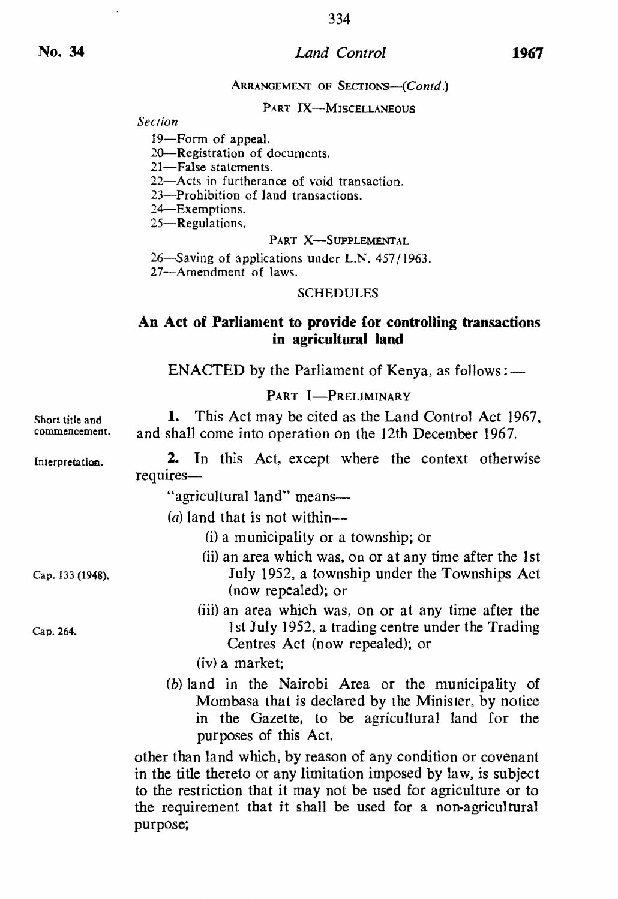#### *Land Control*

#### ARRANGEMENT OF SECTIONS-(Contd.)

## PART IX-MISCELLANEOUS

Secrion

19-Form of appeal.

20-Registration of documents.

21-False statements.

22-Acts in furtherance of void transaction.

23-Prohibition of land transactions.

24-Exemptions.

25-Regulations.

#### PART X-SUPPLEMENTAL

26-Saving of applications under LN. 457/1963.

27-Amendment of laws.

#### SCHEDULES

## An Act of Parliament to provide for controlling transactions in agricultural land

ENACTED by the Parliament of Kenya, as follows: $-$ 

PART I-PRELIMINARY

Short title and commencement. 1. This Act may be cited as the Land Control Act 1967, and shall come into operation on the 12th December 1967.

Inlerpretation. 2. In this Act, except where the context otherwise requires-

"agricultural land" means-

(*a*) land that is not within--

 $(i)$  a municipality or a township; or

- (ii) an area which was, on or at any time after the 1st July 1952, a township under the Townships Act (now repealed); or
- (iii) an area which was, on or at any time after the 1st July 1952, a trading centre under the Trading Centres Act (now repealed); or
- (iv) a market;
- (b) land in the Nairobi Area or the municipality of Mombasa that is declared by the Minister, by notice in the Gazette, to be agricultural land for the purposes of this Act.

other than land which, by reason of any condition or covenant in the title thereto or any limitation imposed by law, is subject to the restriction that it may not be used for agriculture or to the requirement that it shall be used for a non-agricultural purpose;

Cap. 133 (1948).

Cap. 264.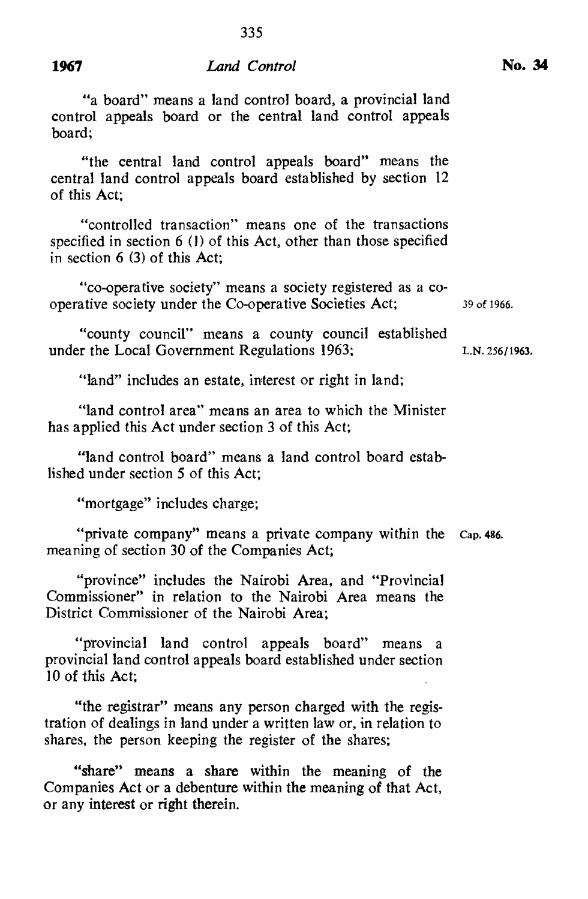## **1967** *Land Control*

335

"a board" means a land control board, a provincial land control appeals board or the central land control appeals board;

"the central land control appeals board" means the central land control appeals board established by section 12 of this Act;

"controlled transaction" means one of the transactions specified in section 6 (I) of this Act, other than those specified in section 6 (3) of this Act;

"co-operative society" means a society registered as a cooperative society under the Co-operative Societies Act; 39 of 1966.

"county council" means a county council established under the Local Government Regulations 1963; L.N. 256/1963.

"land" includes an estate, interest or right in land;

"land control area" means an area to which the Minister has applied this Act under section 3 of this Act;

"land control board" means a land control board established under section S of this Act;

"mortgage" includes charge;

"private company" means a private company within the Cap. 486. meaning of section 30 of the Companies Act;

"province" includes the Nairobi Area, and "Provincial Commissioner" in relation to the Nairobi Area means the District Commissioner of the Nairobi Area;

"provincial land control appeals board" means a provincial land control appeals board established under section  $10$  of this Act:

"the registrar" means any person charged with the registration of dealings in land under a written law or, in relation to shares, the person keeping the register of the shares;

"share" means a share within the meaning of the Companies Act or a debenture within the meaning of that Act, or any interest or right therein.

No. 34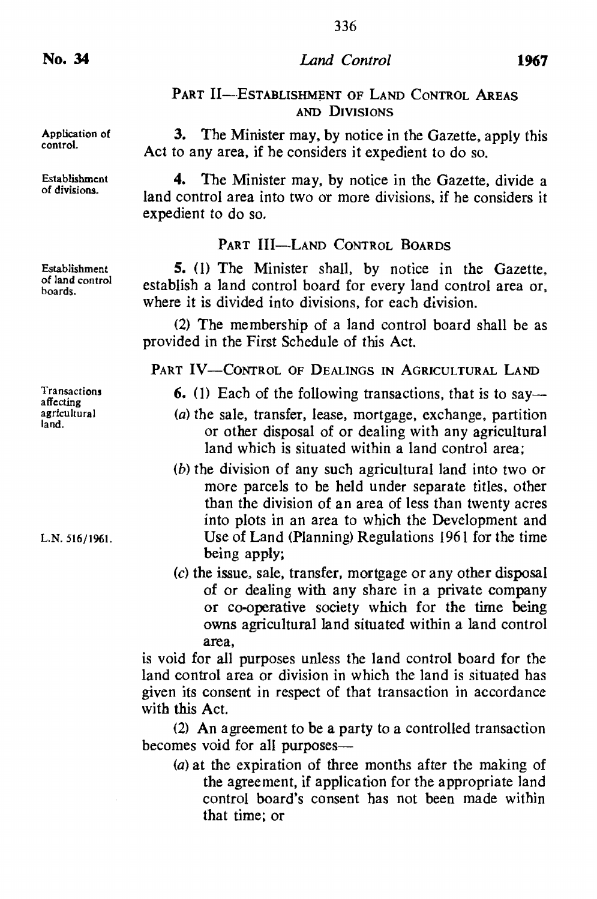No. 34

Application of control.

Establishment of divisions.

Establishment of land control

boards.

Transactions affecting agricultural land.

L.N. 516/1961.

336

## PART II-ESTABLISHMENT OF LAND CONTROL AREAS AND DIVISIONS

3. The Minister may, by notice in the Gazette, apply this Act to any area, if he considers it expedient to do so.

4. The Minister may. by notice in the Gazette, divide a land control area into two or more divisions. if he considers it expedient to do so.

## PART III-LAND CONTROL BOARDS

5. (I) The Minister shall. by notice in the Gazette. establish a land control board for every land control area or. where it is divided into divisions. for each division.

(2) The membership of a land control board shall be as provided in the First Schedule of this Act.

PART IV-CONTROL OF DEALINGS IN AGRICULTURAL LAND

- 6. (1) Each of the following transactions, that is to say—
- (a) the sale, transfer, lease, mortgage, exchange, partition or other disposal of or dealing with any agricultural land which is situated within a land control area:
- (b) the division of any such agricultural land into two or more parcels to be held under separate titles. other than the division of an area of less than twenty acres into plots in an area to which the Development and Use of Land (Planning) Regulations 1961 for the time being apply;
- (c) the issue. sale, transfer, mortgage or any other disposal of or dealing with any share in a private company or co-operative society which for the time being owns agricultural land situated within a land control area,

is void for all purposes unless the land control board for the land control area or division in which the land is situated has given its consent in respect of that transaction in accordance with this Act.

(2) An agreement to be a party to a controlled transaction becomes void for all purposes--

(a) at the expiration of three months after the making of the agreement, if application for the appropriate land control board's consent has not been made within that time; or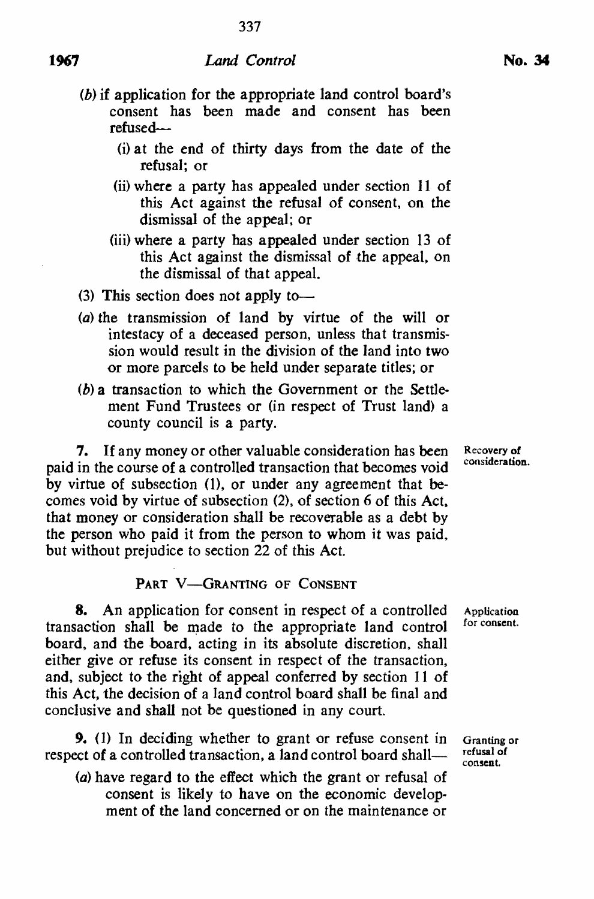- (b) if application for the appropriate land control board's consent has been made and consent has been refused--
	- (i) at the end of thirty days from the date of the refusal; or
	- (ii) where a party has appealed under section 11 of this Act against the refusal of consent, on the dismissal of the appeal; or
	- (iii) where a party has appealed under section 13 of this Act against the dismissal of the appeal, on the dismissal of that appeal.
- (3) This section does not apply to-
- (a) the transmission of land by virtue of the will or intestacy of a deceased person, unless that transmission would result in the division of the land into two or more parcels to be held under separate titles; or
- (b) a transaction to which the Government or the Settlement Fund Trustees or (in respect of Trust land) a county council is a party.

7. If any money or other valuable consideration has been paid in the course of a controlled transaction that becomes void by virtue of subsection (1), or under any agreement that becomes void by virtue of subsection (2), of section 6 of this Act. that money or consideration shall be recoverable as a debt by the person who paid it from the person to whom it was paid. but without prejudice to section 22 of this Act.

## PART V-GRANTING OF CONSENT

8. An application for consent in respect of a controlled transaction shall be made to the appropriate land control board, and the board, acting in its absolute discretion, shall either give or refuse its consent in respect of the transaction, and, subject to the right of appeal conferred by section 11 of this Act. the decision of a land control board shall be final and conclusive and shall not be questioned in any court.

9. (1) In deciding whether to grant or refuse consent in respect of a controlled transaction, a land control board shall-

(a) have regard to the effect which the grant or refusal of consent is likely to have on the economic development of the land concerned or on the maintenance or

Recovery of consideration.

Granting or refusal of consent.

Application for consent.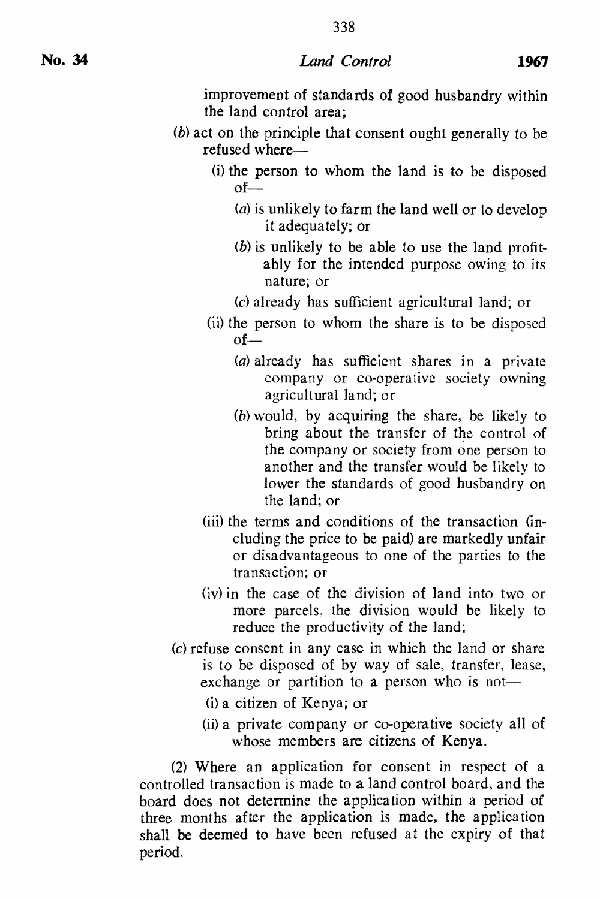338

improvement of standards of good husbandry within the land control area;

- (b) act on the principle that consent ought generally to be refused where-
	- (i) the person to whom the land is to be disposed  $of-$ 
		- $(a)$  is unlikely to farm the land well or to develop it adequately; or
		- $(b)$  is unlikely to be able to use the land profitably for the intended purpose owing to its nature; or
		- (c) already has sufficient agricultural land; or
	- (ii) the person to whom the share is to be disposed  $of-$ 
		- (a) already has sufficient shares in a private company or co-operative society owning agricultural land; or
		- (b) would, by acquiring the share, be likely to bring about the transfer of the control of the company or society from one person to another and the transfer would be likely to lower the standards of good husbandry on the land; or
	- (iii) the terms and conditions of the transaction (including the price to be paid) are markedly unfair or disadvantageous to one of the parties to the transaction; or
	- (iv) in the case of the division of land into two or more parcels, the division would be likely to reduce the productivity of the land;
- (c) refuse consent in any case in which the land or share is to be disposed of by way of sale, transfer, lease, exchange or partition to a person who is not-
	- (i) a citizen of Kenya; or
	- (ii) a private company or co-operative society all of whose members are citizens of Kenya.

(2) Where an application for consent in respect of a controlled transaction is made to a land control board, and the board does not determine the application within a period of three months after the application is made, the application shall be deemed to have been refused at the expiry of that period.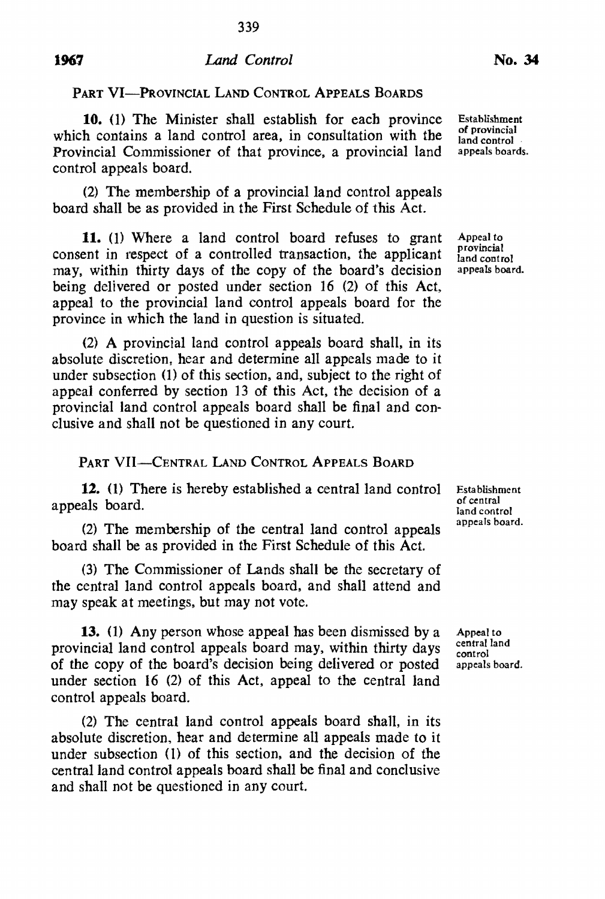## **1967** *Land Control*

PART VI-PROVINCIAL LAND CONTROL APPEALS BOARDS

**10.** (1) The Minister shall establish for each province which contains a land control area, in consultation with the Provincial Commissioner of that province, a provincial land control appeals board.

(2) The membership of a provincial land control appeals board shall be as provided in the First Schedule of this Act.

11. (1) Where a land control board refuses to grant consent in respect of a controlled transaction, the applicant may. within thirty days of the copy of the board's decision being delivered or posted under section 16 (2) of this Act, appeal to the provincial land control appeals board for the province in which the land in question is situated.

 $(2)$  A provincial land control appeals board shall, in its absolute discretion, hear and determine all appeals made to it under subsection (1) of this section. and, subject to the right of appeal conferred by section 13 of this Act, the decision of a provincial land control appeals board shall be final and conclusive and shall not be questioned in any court.

## PART VII-CENTRAL LAND CONTROL APPEALS BOARD

**12.** (1) There is hereby established a central land control appeals board.

(2) The membership of the central land control appeals board shall be as provided in the First Schedule of this Act.

(3) The Commissioner of Lands shall be the secretary of the central land control appeals board. and shall attend and may speak at meetings, but may not vote.

**13.** (1) Any person whose appeal has been dismissed by a provincial land control appeals board may, within thirty days of the copy of the board's decision being delivered or posted under section 16 (2) of this Act, appeal to the central land control appeals board.

(2) The central land control appeals board shall, in its absolute discretion, hear and determine all appeals made to it under subsection (I) of this section. and the decision of the central land control appeals board shall be final and conclusive and shall not be questioned in any court.

Establishment of provincial land control appeals boards.

Appeal to provincial land control appeals board.

Esta blishment of central land control appeals board.

Appeal to central land control appeals board.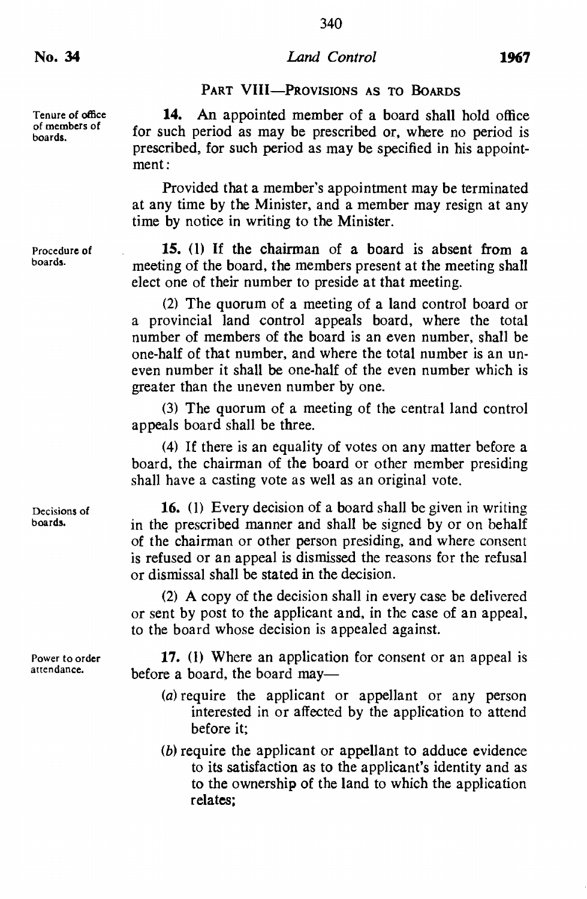Tenure of office of members of boards.

Procedure of boards.

Decisions of boards.

Power to order attendance.

14. An appointed member of a board shall hold office for such period as may be prescribed or, where no period is prescribed, for such period as may be specified in his appointment:

Provided that a member's appointment may be terminated at any time by the Minister. and a member may resign at any time by notice in writing to the Minister.

IS. (I) If the chairman of a board is absent from a meeting of the board. the members present at the meeting shall elect one of their number to preside at that meeting.

(2) The quorum of a meeting of a land control board or a provincial land control appeals board. where the total number of members of the board is an even number. shall be one-half of that number. and where the total number is an uneven number it shall be one-half of the even number which is greater than the uneven number by one.

(3) The quorum of a meeting of the central land control appeals board shall be three.

(4) If there is an equality of votes on any matter before a board. the chairman of the board or other member presiding shall have a casting vote as well as an original vote.

16. (1) Every decision of a board shall be given in writing in the prescribed manner and shall be signed by or on behalf of the chairman or other person presiding. and where consent is refused or an appeal is dismissed the reasons for the refusal or dismissal shall be stated in the decision.

(2) A copy of the decision shall in every case be delivered or sent by post to the applicant and. in the case of an appeal. to the board whose decision is appealed against.

17. (I) Where an application for consent or an appeal is before a board, the board may-

- (a) require the applicant or appellant or any person interested in or affected by the application to attend before it;
- (b) require the applicant or appellant to adduce evidence to its satisfaction as to the applicant's identity and as to the ownership of the land to which the application relates: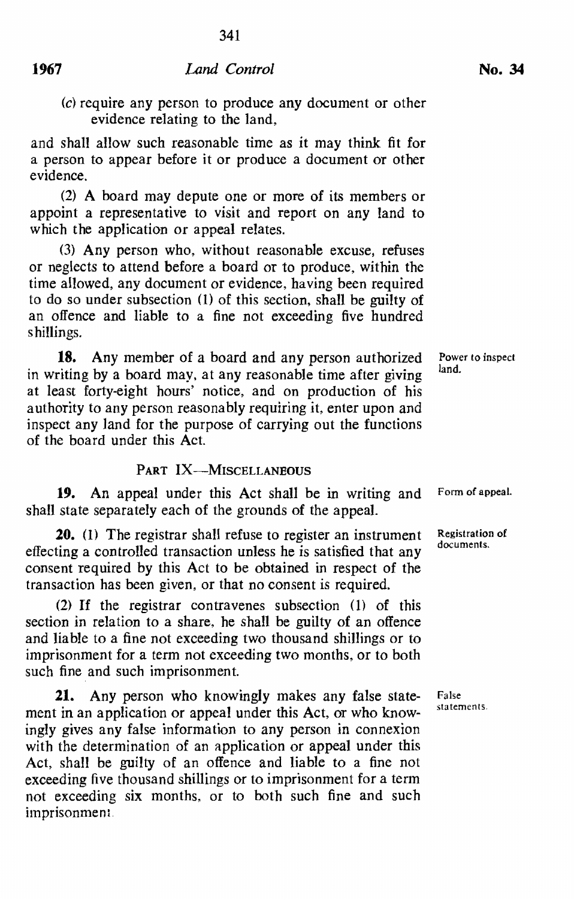(c) require any person to produce any document or other evidence relating to the land,

and shall allow such reasonable time as it may think fit for a person to appear before it or produce a document or other evidence.

(2) A board may depute one or more of its members or appoint a representative to visit and report on any land to which the application or appeal relates.

 $(3)$  Any person who, without reasonable excuse, refuses or neglects to attend before a board or to produce, within the time allowed. any document or evidence. having been required to do so under subsection (I) of this section, shall be guilty of an offence and liable to a fine not exceeding five hundred shillings.

**18.** Any member of a board and any person authorized in writing by a board may, at any reasonable time after giving at least forty-eight hours' notice. and on production of his authority to any person reasonably requiring it, enter upon and inspect any land for the purpose of carrying out the functions of the board under this Act.

## PART IX-MISCELLANEOUS

**19.** An appeal under this Act shall be in writing and shall state separately each of the grounds of the appeal.

**20.** (1) The registrar shall refuse to register an instrument effecting a controlled transaction unless he is satisfied that any consent required by this Act to be obtained in respect of the transaction has been given. or that no consent is required.

(2) If the registrar contravenes subsection (1) of this section in relation to a share, he shall be guilty of an offence and liable to a fine not exceeding two thousand shillings or to imprisonment for a term not exceeding two months. or to both such fine and such imprisonment.

**21.** Any person who knowingly makes any false statement in an application or appeal under this Act, or who knowingly gives any false information to any person in connexion with the determination of an application or appeal under this Act, shall be guilty of an offence and liable to a fine not exceeding five thousand shillings or to imprisonment for a term not exceeding six months, or to both such fine and such imprisonment.

Power to inspect land.

Form of appeal.

Registration of documents.

False sta tements.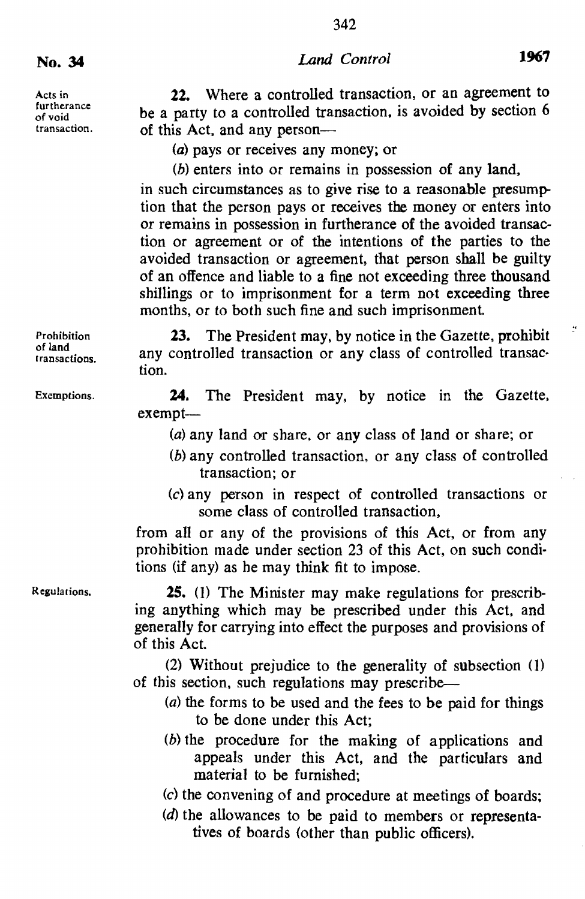342

Acts in furtherance of void transaction.

22. Where a controlled transaction, or an agreement to be a party to a controlled transaction. is avoided by section 6 of this Act, and any person-

(a) pays or receives any money; or

(b) enters into or remains in possession of any land.

in such circumstances as to give rise to a reasonable presumption that the person pays or receives the money or enters into or remains in possession in furtherance of the avoided transaction or agreement or of the intentions of the parties to the avoided transaction or agreement, that person shall be guilty of an offence and liable to a fine not exceeding three thousand shillings or to imprisonment for a term not exceeding three months. or to both such fine and such imprisonment.

23. The President may, by notice in the Gazette, prohibit any controlled transaction or any class of controlled transaction.

24. The President may. by notice in the Gazette, exempt-

(a) any land or share. or any class of land or share; or

- $(b)$  any controlled transaction, or any class of controlled transaction; or
- (c) any person in respect of controlled transactions or some class of controlled transaction.

from all or any of the provisions of this Act. or from any prohibition made under section 23 of this Act. on such conditions (if any) as he may think fit to impose.

**25.** (1) The Minister may make regulations for prescribing anything which may be prescribed under this Act. and generally for carrying into effect the purposes and provisions of of this Act.

(2) Without prejudice to the generality of subsection (I) of this section, such regulations may prescribe-

- (a) the forms to be used and the fees to be paid for things to be done under this Act;
- (b) the procedure for the making of applications and appeals under this Act. and the particulars and material to be furnished;
- (c) the convening of and procedure at meetings of boards;
- (d) the allowances to be paid to members or representatives of boards (other than public officers).

Prohibition of land rransactions.

Exemptions.

Regularions.

 $\frac{1}{n}$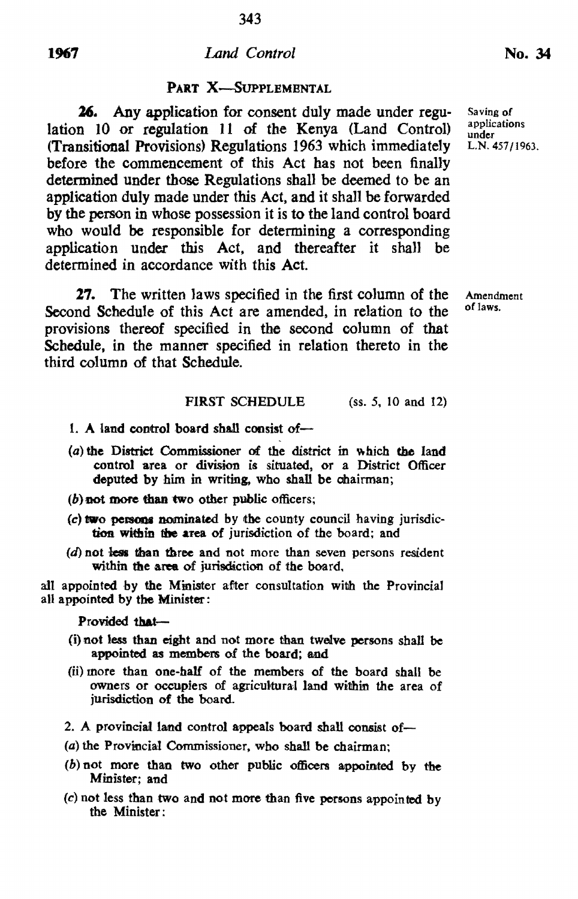#### 1%7 *Land Control*

## PART X-SUPPLEMENTAL

26. Any application for consent duly made under regulation 10 or regulation 11 of the Kenya (Land Control) (Transitional Provisions) Regulations 1963 which immediately before the commencement of this Act has not been finally determined under those Regulations shall be deemed to be an application duly made under this Act, and it shall be forwarded by the person in whose possession it is to the land control board who would be responsible for determining a corresponding application under this Act, and thereafter it shall be determined in accordance with this Act.

27. The written laws specified in the first column of the Second Schedule of this Act are amended, in relation to the provisions thereof specified in the second column of that Schedule, in the manner specified in relation thereto in the third column of that Schedule.

## FIRST SCHEDULE (ss. 5, 10 and 12)

- 1. A land control board shall consist of-
- (a) the District Commissioner of the district in which the land control area or division is situated, or a District Officer deputed by him in writing, who shall be chairman;
- $(b)$  not more than two other public officers;
- *(c)* two persons nominated by the county council having jurisdiction within the area of jurisdiction of the board; and
- $(d)$  not less than three and not more than seven persons resident within the area of jurisdiction of the board.

all appointed by the Minister after consultation with the Provincial all appointed by the Minister:

Provided that-

- {i} not less than eight and not more than twelve persons shall be appointed as members of the board; and
- (ii) more than one-half of the members of the board shall be owners or occupiers of agricultural land within the area of jurisdiction of the board.
- 2. A provincial land control appeals board shall consist of-
- (a) the Provincial Commissioner, who shall be chairman;
- (b) not more than two other public officers appointed by the Minister; and
- (c) not less than two and not more than five persons appointed by the Minister:

Saving of applications under L.N. 457/1963.

Amendment of laws.